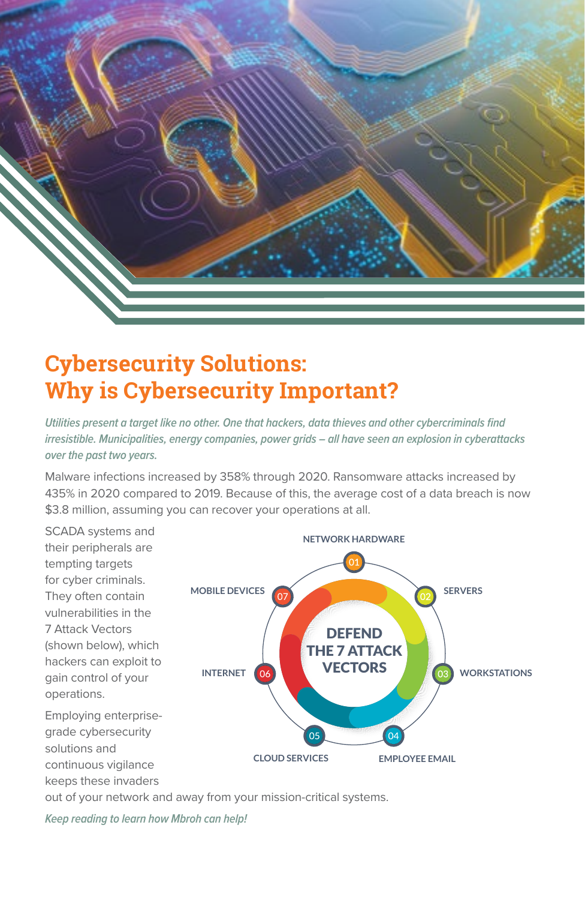

## **Cybersecurity Solutions: Why is Cybersecurity Important?**

*Utilities present a target like no other. One that hackers, data thieves and other cybercriminals find irresistible. Municipalities, energy companies, power grids – all have seen an explosion in cyberattacks over the past two years.*

Malware infections increased by 358% through 2020. Ransomware attacks increased by 435% in 2020 compared to 2019. Because of this, the average cost of a data breach is now \$3.8 million, assuming you can recover your operations at all.



out of your network and away from your mission-critical systems.

*Keep reading to learn how Mbroh can help!*